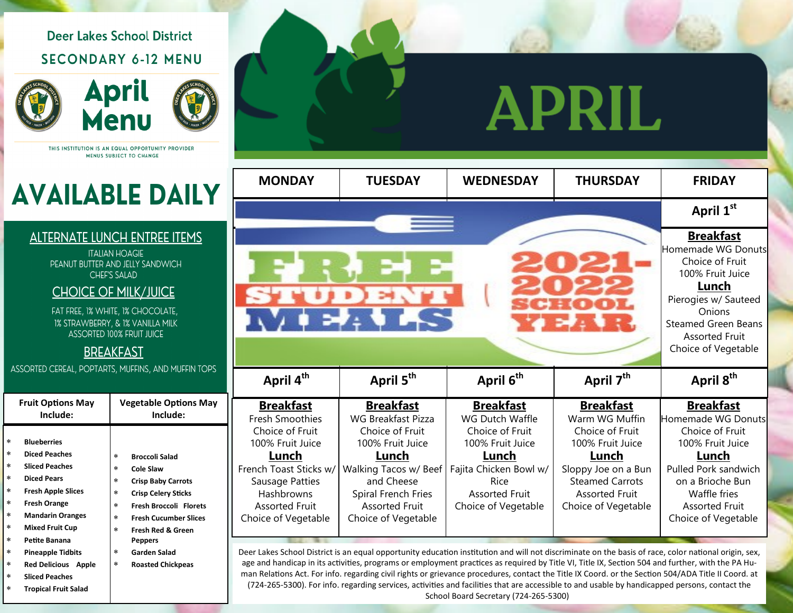## **Deer Lakes School District SECONDARY 6-12 MENU**





THIS INSTITUTION IS AN EQUAL OPPORTUNITY PROVIDER MENUS SUBJECT TO CHANGE

# **AVAILABLE DAILY**

#### **ALTERNATE LUNCH ENTREE ITEMS**

**ITALIAN HOAGIE** PEANUT BUTTER AND JELLY SANDWICH **CHEF'S SALAD** 

#### **CHOICE OF MILK/JUICE**

FAT FREE, 1% WHITE, 1% CHOCOLATE, 1% STRAWBERRY, & 1% VANILLA MILK **ASSORTED 100% FRUIT JUICE** 

#### **BREAKFAST**

ASSORTED CEREAL, POPTARTS, MUFFINS, AND MUFFIN TOPS

|                                                                                                  | <b>Fruit Options May</b><br>Include:                                                                                                                                                                                                                   | <b>Vegetable Options May</b><br>Include:                                                                                                                                                                                                                                                                         |  |  |
|--------------------------------------------------------------------------------------------------|--------------------------------------------------------------------------------------------------------------------------------------------------------------------------------------------------------------------------------------------------------|------------------------------------------------------------------------------------------------------------------------------------------------------------------------------------------------------------------------------------------------------------------------------------------------------------------|--|--|
| $\ast$<br>$\ast$<br>$\ast$<br>$\ast$<br>$\ast$<br>$\ast$<br>$\ast$<br>$\ast$<br>$\ast$<br>$\ast$ | <b>Blueberries</b><br><b>Diced Peaches</b><br><b>Sliced Peaches</b><br><b>Diced Pears</b><br><b>Fresh Apple Slices</b><br><b>Fresh Orange</b><br><b>Mandarin Oranges</b><br><b>Mixed Fruit Cup</b><br><b>Petite Banana</b><br><b>Pineapple Tidbits</b> | $\ast$<br><b>Broccoli Salad</b><br>$\ast$<br>Cole Slaw<br>$\ast$<br><b>Crisp Baby Carrots</b><br>$\ast$<br><b>Crisp Celery Sticks</b><br>$\ast$<br><b>Fresh Broccoli Florets</b><br>$\ast$<br><b>Fresh Cucumber Slices</b><br>$\ast$<br><b>Fresh Red &amp; Green</b><br><b>Peppers</b><br>Garden Salad<br>$\ast$ |  |  |
| $\ast$<br>$\ast$                                                                                 | <b>Red Delicious Apple</b><br><b>Sliced Peaches</b>                                                                                                                                                                                                    | $\ast$<br><b>Roasted Chickpeas</b>                                                                                                                                                                                                                                                                               |  |  |
| $\ast$                                                                                           | Tronical Fruit Salad                                                                                                                                                                                                                                   |                                                                                                                                                                                                                                                                                                                  |  |  |

## PRIL. A

| <b>MONDAY</b>                                                                                                                                                                                         | <b>TUESDAY</b>                                                                                                                                                                                              | <b>WEDNESDAY</b>                                                                                                                                                      | <b>THURSDAY</b>                                                                                                                                                                     | <b>FRIDAY</b>                                                                                                                                                                                          |
|-------------------------------------------------------------------------------------------------------------------------------------------------------------------------------------------------------|-------------------------------------------------------------------------------------------------------------------------------------------------------------------------------------------------------------|-----------------------------------------------------------------------------------------------------------------------------------------------------------------------|-------------------------------------------------------------------------------------------------------------------------------------------------------------------------------------|--------------------------------------------------------------------------------------------------------------------------------------------------------------------------------------------------------|
|                                                                                                                                                                                                       |                                                                                                                                                                                                             |                                                                                                                                                                       |                                                                                                                                                                                     | April 1st                                                                                                                                                                                              |
| $\mathbf{u} \times \mathbf{v}$                                                                                                                                                                        |                                                                                                                                                                                                             |                                                                                                                                                                       |                                                                                                                                                                                     | <b>Breakfast</b><br>Homemade WG Donuts<br>Choice of Fruit<br>100% Fruit Juice<br>Lunch<br>Pierogies w/ Sauteed<br>Onions<br><b>Steamed Green Beans</b><br><b>Assorted Fruit</b><br>Choice of Vegetable |
| April 4 <sup>th</sup>                                                                                                                                                                                 | April 5 <sup>th</sup>                                                                                                                                                                                       | April 6 <sup>th</sup>                                                                                                                                                 | April 7 <sup>th</sup>                                                                                                                                                               | April 8 <sup>th</sup>                                                                                                                                                                                  |
| <b>Breakfast</b><br><b>Fresh Smoothies</b><br>Choice of Fruit<br>100% Fruit Juice<br>Lunch<br>French Toast Sticks w/<br>Sausage Patties<br>Hashbrowns<br><b>Assorted Fruit</b><br>Choice of Vegetable | <b>Breakfast</b><br><b>WG Breakfast Pizza</b><br>Choice of Fruit<br>100% Fruit Juice<br>Lunch<br>Walking Tacos w/ Beef<br>and Cheese<br>Spiral French Fries<br><b>Assorted Fruit</b><br>Choice of Vegetable | <b>Breakfast</b><br>WG Dutch Waffle<br>Choice of Fruit<br>100% Fruit Juice<br>Lunch<br>Fajita Chicken Bowl w/<br>Rice<br><b>Assorted Fruit</b><br>Choice of Vegetable | <b>Breakfast</b><br>Warm WG Muffin<br>Choice of Fruit<br>100% Fruit Juice<br>Lunch<br>Sloppy Joe on a Bun<br><b>Steamed Carrots</b><br><b>Assorted Fruit</b><br>Choice of Vegetable | <b>Breakfast</b><br>Homemade WG Donuts<br>Choice of Fruit<br>100% Fruit Juice<br>Lunch<br>Pulled Pork sandwich<br>on a Brioche Bun<br>Waffle fries<br><b>Assorted Fruit</b><br>Choice of Vegetable     |

Deer Lakes School District is an equal opportunity education institution and will not discriminate on the basis of race, color national origin, sex, age and handicap in its activities, programs or employment practices as required by Title VI, Title IX, Section 504 and further, with the PA Human Relations Act. For info. regarding civil rights or grievance procedures, contact the Title IX Coord. or the Section 504/ADA Title II Coord. at (724-265-5300). For info. regarding services, activities and facilities that are accessible to and usable by handicapped persons, contact the School Board Secretary (724-265-5300)